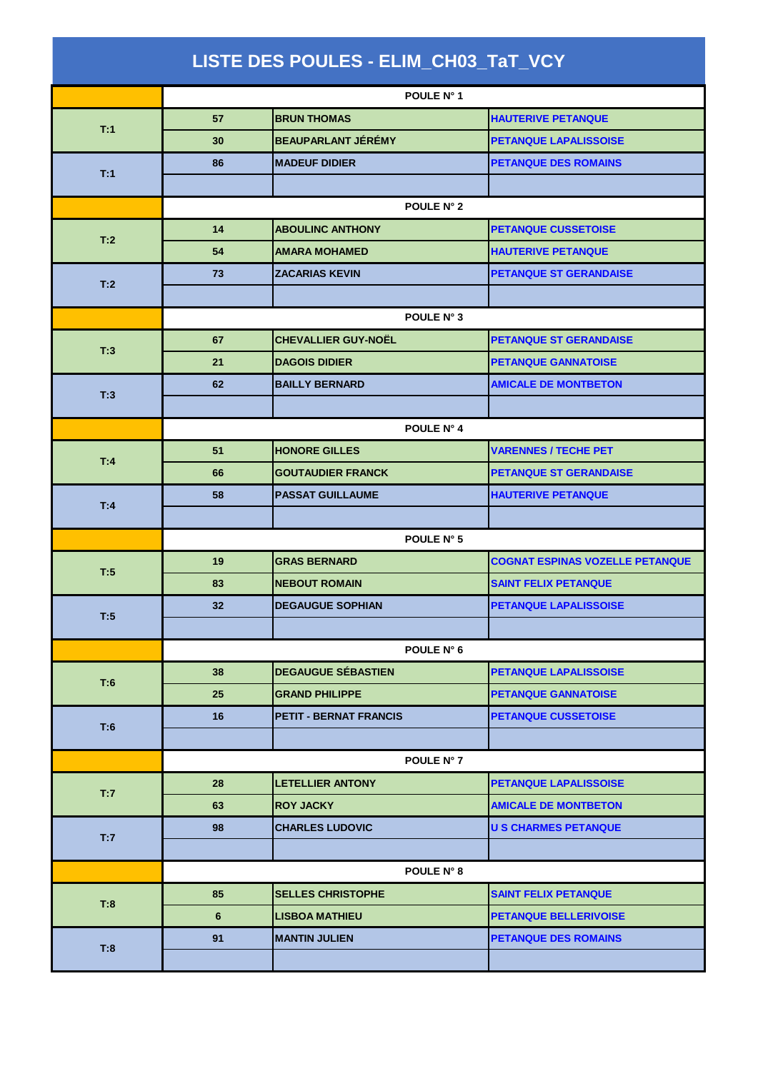|     |                | LISTE DES POULES - ELIM_CH03_TaT_VCY |                                        |
|-----|----------------|--------------------------------------|----------------------------------------|
|     |                | POULE N° 1                           |                                        |
| T:1 | 57             | <b>BRUN THOMAS</b>                   | <b>HAUTERIVE PETANQUE</b>              |
|     | 30             | <b>BEAUPARLANT JÉRÉMY</b>            | <b>PETANQUE LAPALISSOISE</b>           |
|     | 86             | <b>MADEUF DIDIER</b>                 | <b>PETANQUE DES ROMAINS</b>            |
| T:1 |                |                                      |                                        |
|     | POULE N° 2     |                                      |                                        |
| T:2 | 14             | <b>ABOULINC ANTHONY</b>              | <b>PETANQUE CUSSETOISE</b>             |
|     | 54             | <b>AMARA MOHAMED</b>                 | <b>HAUTERIVE PETANQUE</b>              |
| T:2 | 73             | <b>ZACARIAS KEVIN</b>                | <b>PETANQUE ST GERANDAISE</b>          |
|     |                |                                      |                                        |
|     |                | POULE N° 3                           |                                        |
| T:3 | 67             | <b>CHEVALLIER GUY-NOËL</b>           | <b>PETANQUE ST GERANDAISE</b>          |
|     | 21             | <b>DAGOIS DIDIER</b>                 | <b>PETANQUE GANNATOISE</b>             |
| T:3 | 62             | <b>BAILLY BERNARD</b>                | <b>AMICALE DE MONTBETON</b>            |
|     |                |                                      |                                        |
|     |                | POULE N° 4                           |                                        |
| T:4 | 51             | <b>HONORE GILLES</b>                 | <b>VARENNES / TECHE PET</b>            |
|     | 66             | <b>GOUTAUDIER FRANCK</b>             | <b>PETANQUE ST GERANDAISE</b>          |
| T:4 | 58             | <b>PASSAT GUILLAUME</b>              | <b>HAUTERIVE PETANQUE</b>              |
|     |                |                                      |                                        |
|     |                | POULE N° 5                           |                                        |
| T:5 | 19             | <b>GRAS BERNARD</b>                  | <b>COGNAT ESPINAS VOZELLE PETANQUE</b> |
|     | 83             | <b>NEBOUT ROMAIN</b>                 | <b>SAINT FELIX PETANQUE</b>            |
| T:5 | 32             | <b>DEGAUGUE SOPHIAN</b>              | PETANQUE LAPALISSOISE                  |
|     |                |                                      |                                        |
|     |                | POULE N° 6                           |                                        |
| T:6 | 38             | <b>DEGAUGUE SÉBASTIEN</b>            | <b>PETANQUE LAPALISSOISE</b>           |
|     | 25             | <b>GRAND PHILIPPE</b>                | <b>PETANQUE GANNATOISE</b>             |
| T:6 | 16             | <b>PETIT - BERNAT FRANCIS</b>        | <b>PETANQUE CUSSETOISE</b>             |
|     |                |                                      |                                        |
|     |                | POULE N° 7                           |                                        |
| T:7 | 28             | <b>LETELLIER ANTONY</b>              | PETANQUE LAPALISSOISE                  |
|     | 63             | <b>ROY JACKY</b>                     | <b>AMICALE DE MONTBETON</b>            |
| T:7 | 98             | <b>CHARLES LUDOVIC</b>               | <b>U S CHARMES PETANQUE</b>            |
|     |                |                                      |                                        |
|     |                | POULE N° 8                           |                                        |
| T:8 | 85             | <b>SELLES CHRISTOPHE</b>             | <b>SAINT FELIX PETANQUE</b>            |
|     | $6\phantom{1}$ | <b>LISBOA MATHIEU</b>                | <b>PETANQUE BELLERIVOISE</b>           |
| T:8 | 91             | <b>MANTIN JULIEN</b>                 | <b>PETANQUE DES ROMAINS</b>            |
|     |                |                                      |                                        |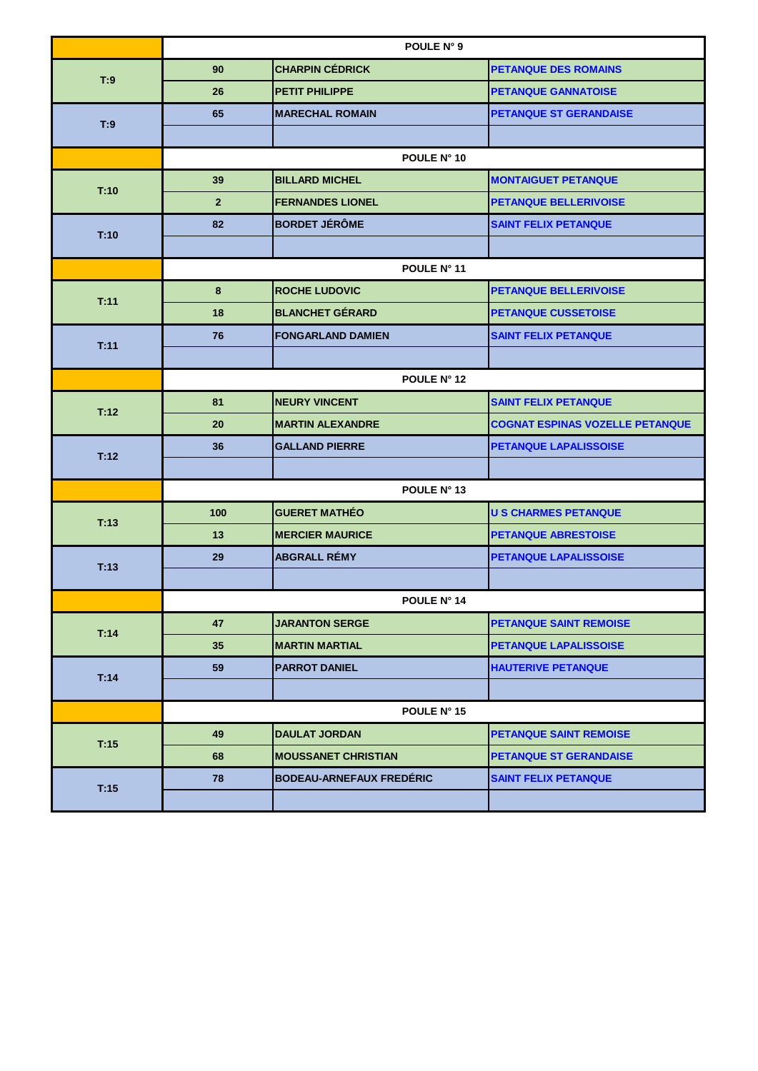|      | POULE N° 9     |                                 |                                        |
|------|----------------|---------------------------------|----------------------------------------|
| T:9  | 90             | <b>CHARPIN CÉDRICK</b>          | <b>PETANQUE DES ROMAINS</b>            |
|      | 26             | <b>PETIT PHILIPPE</b>           | <b>PETANQUE GANNATOISE</b>             |
|      | 65             | <b>MARECHAL ROMAIN</b>          | <b>PETANQUE ST GERANDAISE</b>          |
| T:9  |                |                                 |                                        |
|      |                | POULE N° 10                     |                                        |
| T:10 | 39             | <b>BILLARD MICHEL</b>           | <b>MONTAIGUET PETANQUE</b>             |
|      | $\overline{2}$ | <b>FERNANDES LIONEL</b>         | <b>PETANQUE BELLERIVOISE</b>           |
| T:10 | 82             | <b>BORDET JÉRÔME</b>            | <b>SAINT FELIX PETANQUE</b>            |
|      |                |                                 |                                        |
|      |                | POULE N° 11                     |                                        |
| T:11 | 8              | <b>ROCHE LUDOVIC</b>            | <b>PETANQUE BELLERIVOISE</b>           |
|      | 18             | <b>BLANCHET GÉRARD</b>          | <b>PETANQUE CUSSETOISE</b>             |
| T:11 | 76             | <b>FONGARLAND DAMIEN</b>        | <b>SAINT FELIX PETANQUE</b>            |
|      |                |                                 |                                        |
|      |                | POULE N° 12                     |                                        |
| T:12 | 81             | <b>NEURY VINCENT</b>            | <b>SAINT FELIX PETANQUE</b>            |
|      | 20             | <b>MARTIN ALEXANDRE</b>         | <b>COGNAT ESPINAS VOZELLE PETANQUE</b> |
| T:12 | 36             | <b>GALLAND PIERRE</b>           | PETANQUE LAPALISSOISE                  |
|      |                |                                 |                                        |
|      |                | POULE N° 13                     |                                        |
| T:13 | 100            | <b>GUERET MATHÉO</b>            | <b>U S CHARMES PETANQUE</b>            |
|      | 13             | <b>MERCIER MAURICE</b>          | <b>PETANQUE ABRESTOISE</b>             |
| T:13 | 29             | <b>ABGRALL RÉMY</b>             | PETANQUE LAPALISSOISE                  |
|      |                |                                 |                                        |
|      |                | POULE N° 14                     |                                        |
| T:14 | 47             | <b>JARANTON SERGE</b>           | <b>PETANQUE SAINT REMOISE</b>          |
|      | 35             | <b>MARTIN MARTIAL</b>           | PETANQUE LAPALISSOISE                  |
| T:14 | 59             | <b>PARROT DANIEL</b>            | <b>HAUTERIVE PETANQUE</b>              |
|      |                |                                 |                                        |
|      |                | POULE N° 15                     |                                        |
| T:15 | 49             | <b>DAULAT JORDAN</b>            | <b>PETANQUE SAINT REMOISE</b>          |
|      | 68             | <b>MOUSSANET CHRISTIAN</b>      | <b>PETANQUE ST GERANDAISE</b>          |
| T:15 | 78             | <b>BODEAU-ARNEFAUX FREDÉRIC</b> | <b>SAINT FELIX PETANQUE</b>            |
|      |                |                                 |                                        |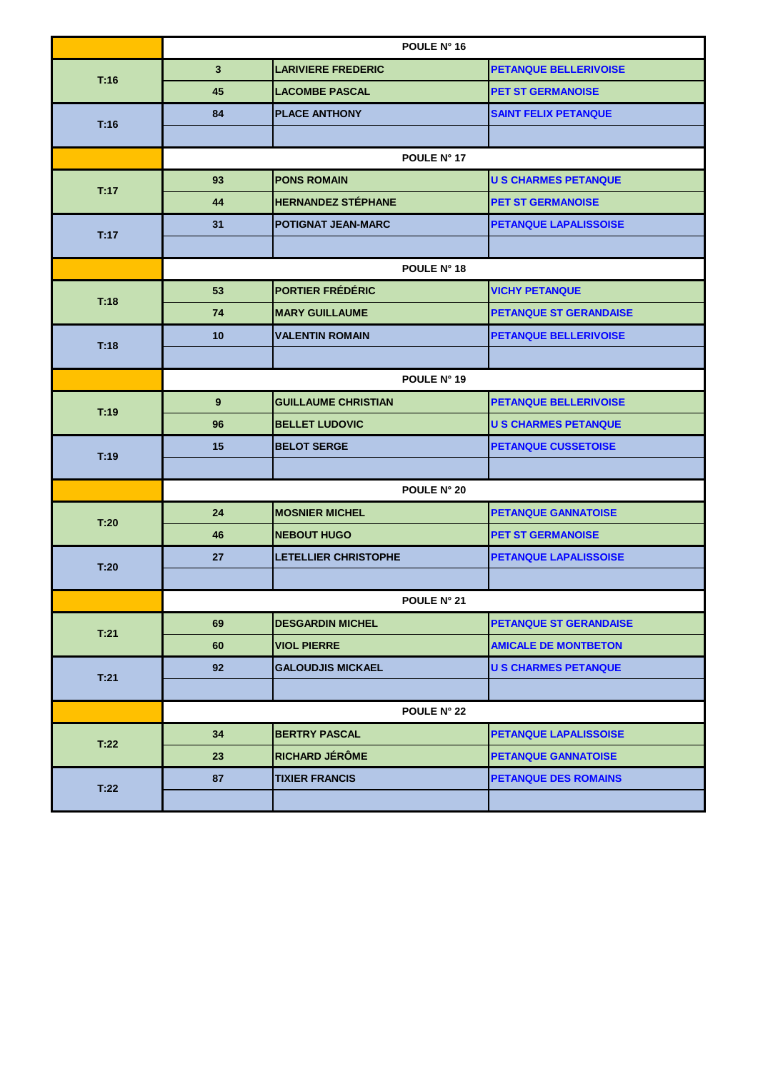|      | POULE N° 16    |                             |                               |
|------|----------------|-----------------------------|-------------------------------|
| T:16 | 3 <sup>2</sup> | <b>LARIVIERE FREDERIC</b>   | <b>PETANQUE BELLERIVOISE</b>  |
|      | 45             | <b>LACOMBE PASCAL</b>       | <b>PET ST GERMANOISE</b>      |
|      | 84             | <b>PLACE ANTHONY</b>        | <b>SAINT FELIX PETANQUE</b>   |
| T:16 |                |                             |                               |
|      |                | POULE N° 17                 |                               |
| T:17 | 93             | <b>PONS ROMAIN</b>          | <b>U S CHARMES PETANQUE</b>   |
|      | 44             | <b>HERNANDEZ STÉPHANE</b>   | <b>PET ST GERMANOISE</b>      |
| T:17 | 31             | <b>POTIGNAT JEAN-MARC</b>   | <b>PETANQUE LAPALISSOISE</b>  |
|      |                |                             |                               |
|      |                | POULE N° 18                 |                               |
| T:18 | 53             | <b>PORTIER FRÉDÉRIC</b>     | <b>VICHY PETANQUE</b>         |
|      | 74             | <b>MARY GUILLAUME</b>       | <b>PETANQUE ST GERANDAISE</b> |
| T:18 | 10             | <b>VALENTIN ROMAIN</b>      | PETANQUE BELLERIVOISE         |
|      |                |                             |                               |
|      | POULE N° 19    |                             |                               |
| T:19 | 9              | <b>GUILLAUME CHRISTIAN</b>  | <b>PETANQUE BELLERIVOISE</b>  |
|      | 96             | <b>BELLET LUDOVIC</b>       | <b>U S CHARMES PETANQUE</b>   |
| T:19 | 15             | <b>BELOT SERGE</b>          | <b>PETANQUE CUSSETOISE</b>    |
|      |                |                             |                               |
|      | POULE N° 20    |                             |                               |
| T:20 | 24             | <b>MOSNIER MICHEL</b>       | <b>PETANQUE GANNATOISE</b>    |
|      | 46             | <b>NEBOUT HUGO</b>          | <b>PET ST GERMANOISE</b>      |
| T:20 | 27             | <b>LETELLIER CHRISTOPHE</b> | <b>PETANQUE LAPALISSOISE</b>  |
|      |                |                             |                               |
|      | POULE N° 21    |                             |                               |
| T:21 | 69             | <b>DESGARDIN MICHEL</b>     | <b>PETANQUE ST GERANDAISE</b> |
|      | 60             | <b>VIOL PIERRE</b>          | <b>AMICALE DE MONTBETON</b>   |
| T:21 | 92             | <b>GALOUDJIS MICKAEL</b>    | <b>U S CHARMES PETANQUE</b>   |
|      |                |                             |                               |
|      |                | POULE N° 22                 |                               |
| T:22 | 34             | <b>BERTRY PASCAL</b>        | PETANQUE LAPALISSOISE         |
|      | 23             | <b>RICHARD JÉRÔME</b>       | <b>PETANQUE GANNATOISE</b>    |
| T:22 | 87             | <b>TIXIER FRANCIS</b>       | <b>PETANQUE DES ROMAINS</b>   |
|      |                |                             |                               |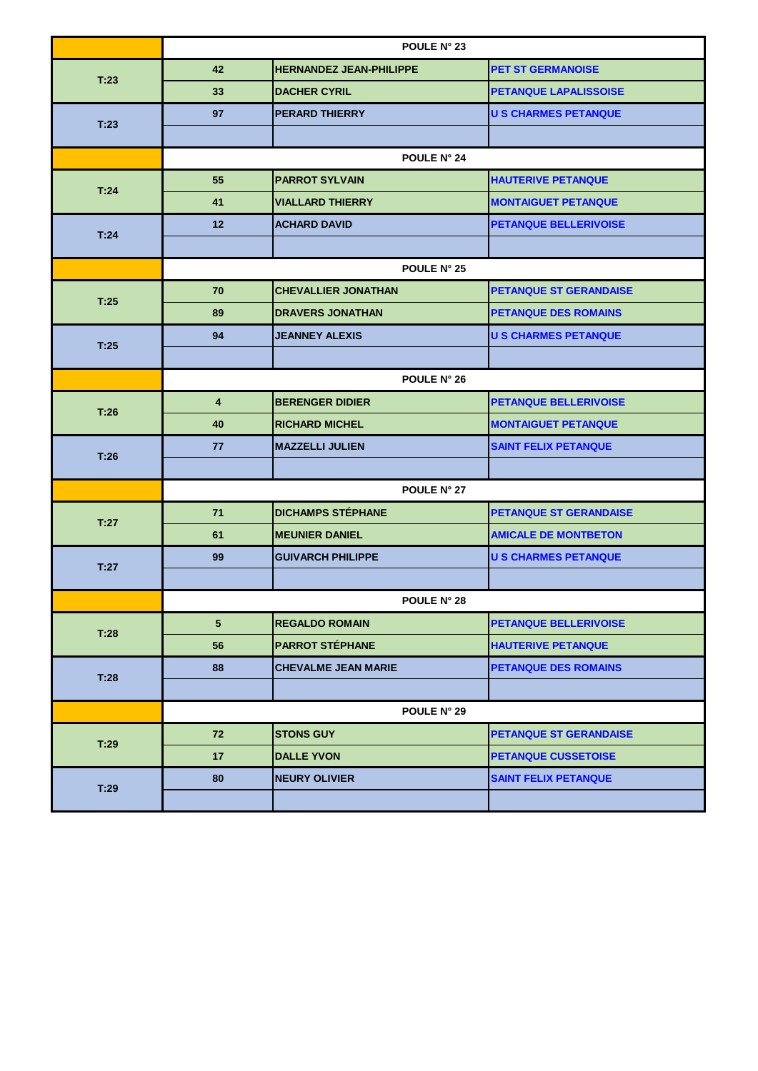| 42<br><b>HERNANDEZ JEAN-PHILIPPE</b><br><b>PET ST GERMANOISE</b><br>T:23<br>33<br><b>DACHER CYRIL</b><br><b>PETANQUE LAPALISSOISE</b><br>97<br><b>PERARD THIERRY</b><br><b>U S CHARMES PETANQUE</b><br>T:23<br><b>POULE N° 24</b><br>55<br><b>PARROT SYLVAIN</b><br><b>HAUTERIVE PETANQUE</b><br>T:24<br><b>VIALLARD THIERRY</b><br><b>MONTAIGUET PETANQUE</b><br>41<br>12<br><b>ACHARD DAVID</b><br><b>PETANQUE BELLERIVOISE</b><br>T:24<br>POULE N° 25<br>70<br><b>CHEVALLIER JONATHAN</b><br><b>PETANQUE ST GERANDAISE</b><br>T:25<br>89<br><b>DRAVERS JONATHAN</b><br><b>PETANQUE DES ROMAINS</b><br><b>U S CHARMES PETANQUE</b><br>94<br><b>JEANNEY ALEXIS</b><br>T.25<br>POULE N° 26<br><b>BERENGER DIDIER</b><br><b>PETANQUE BELLERIVOISE</b><br>4<br>T:26<br><b>RICHARD MICHEL</b><br><b>MONTAIGUET PETANQUE</b><br>40<br><b>MAZZELLI JULIEN</b><br><b>SAINT FELIX PETANQUE</b><br>77<br>T:26<br>POULE N° 27 |      | POULE N° 23 |  |  |  |
|----------------------------------------------------------------------------------------------------------------------------------------------------------------------------------------------------------------------------------------------------------------------------------------------------------------------------------------------------------------------------------------------------------------------------------------------------------------------------------------------------------------------------------------------------------------------------------------------------------------------------------------------------------------------------------------------------------------------------------------------------------------------------------------------------------------------------------------------------------------------------------------------------------------------|------|-------------|--|--|--|
|                                                                                                                                                                                                                                                                                                                                                                                                                                                                                                                                                                                                                                                                                                                                                                                                                                                                                                                      |      |             |  |  |  |
|                                                                                                                                                                                                                                                                                                                                                                                                                                                                                                                                                                                                                                                                                                                                                                                                                                                                                                                      |      |             |  |  |  |
|                                                                                                                                                                                                                                                                                                                                                                                                                                                                                                                                                                                                                                                                                                                                                                                                                                                                                                                      |      |             |  |  |  |
|                                                                                                                                                                                                                                                                                                                                                                                                                                                                                                                                                                                                                                                                                                                                                                                                                                                                                                                      |      |             |  |  |  |
|                                                                                                                                                                                                                                                                                                                                                                                                                                                                                                                                                                                                                                                                                                                                                                                                                                                                                                                      |      |             |  |  |  |
|                                                                                                                                                                                                                                                                                                                                                                                                                                                                                                                                                                                                                                                                                                                                                                                                                                                                                                                      |      |             |  |  |  |
|                                                                                                                                                                                                                                                                                                                                                                                                                                                                                                                                                                                                                                                                                                                                                                                                                                                                                                                      |      |             |  |  |  |
|                                                                                                                                                                                                                                                                                                                                                                                                                                                                                                                                                                                                                                                                                                                                                                                                                                                                                                                      |      |             |  |  |  |
|                                                                                                                                                                                                                                                                                                                                                                                                                                                                                                                                                                                                                                                                                                                                                                                                                                                                                                                      |      |             |  |  |  |
|                                                                                                                                                                                                                                                                                                                                                                                                                                                                                                                                                                                                                                                                                                                                                                                                                                                                                                                      |      |             |  |  |  |
|                                                                                                                                                                                                                                                                                                                                                                                                                                                                                                                                                                                                                                                                                                                                                                                                                                                                                                                      |      |             |  |  |  |
|                                                                                                                                                                                                                                                                                                                                                                                                                                                                                                                                                                                                                                                                                                                                                                                                                                                                                                                      |      |             |  |  |  |
|                                                                                                                                                                                                                                                                                                                                                                                                                                                                                                                                                                                                                                                                                                                                                                                                                                                                                                                      |      |             |  |  |  |
|                                                                                                                                                                                                                                                                                                                                                                                                                                                                                                                                                                                                                                                                                                                                                                                                                                                                                                                      |      |             |  |  |  |
|                                                                                                                                                                                                                                                                                                                                                                                                                                                                                                                                                                                                                                                                                                                                                                                                                                                                                                                      |      |             |  |  |  |
|                                                                                                                                                                                                                                                                                                                                                                                                                                                                                                                                                                                                                                                                                                                                                                                                                                                                                                                      |      |             |  |  |  |
|                                                                                                                                                                                                                                                                                                                                                                                                                                                                                                                                                                                                                                                                                                                                                                                                                                                                                                                      |      |             |  |  |  |
|                                                                                                                                                                                                                                                                                                                                                                                                                                                                                                                                                                                                                                                                                                                                                                                                                                                                                                                      |      |             |  |  |  |
|                                                                                                                                                                                                                                                                                                                                                                                                                                                                                                                                                                                                                                                                                                                                                                                                                                                                                                                      |      |             |  |  |  |
|                                                                                                                                                                                                                                                                                                                                                                                                                                                                                                                                                                                                                                                                                                                                                                                                                                                                                                                      |      |             |  |  |  |
| <b>DICHAMPS STÉPHANE</b><br>71<br><b>PETANQUE ST GERANDAISE</b>                                                                                                                                                                                                                                                                                                                                                                                                                                                                                                                                                                                                                                                                                                                                                                                                                                                      |      |             |  |  |  |
| 61<br><b>MEUNIER DANIEL</b><br><b>AMICALE DE MONTBETON</b>                                                                                                                                                                                                                                                                                                                                                                                                                                                                                                                                                                                                                                                                                                                                                                                                                                                           | T:27 |             |  |  |  |
| 99<br><b>GUIVARCH PHILIPPE</b><br><b>U S CHARMES PETANQUE</b><br>T:27                                                                                                                                                                                                                                                                                                                                                                                                                                                                                                                                                                                                                                                                                                                                                                                                                                                |      |             |  |  |  |
|                                                                                                                                                                                                                                                                                                                                                                                                                                                                                                                                                                                                                                                                                                                                                                                                                                                                                                                      |      |             |  |  |  |
| <b>POULE N° 28</b>                                                                                                                                                                                                                                                                                                                                                                                                                                                                                                                                                                                                                                                                                                                                                                                                                                                                                                   |      |             |  |  |  |
| 5 <sup>5</sup><br><b>REGALDO ROMAIN</b><br><b>PETANQUE BELLERIVOISE</b><br>T:28                                                                                                                                                                                                                                                                                                                                                                                                                                                                                                                                                                                                                                                                                                                                                                                                                                      |      |             |  |  |  |
| 56<br><b>PARROT STÉPHANE</b><br><b>HAUTERIVE PETANQUE</b>                                                                                                                                                                                                                                                                                                                                                                                                                                                                                                                                                                                                                                                                                                                                                                                                                                                            |      |             |  |  |  |
| 88<br><b>CHEVALME JEAN MARIE</b><br><b>PETANQUE DES ROMAINS</b>                                                                                                                                                                                                                                                                                                                                                                                                                                                                                                                                                                                                                                                                                                                                                                                                                                                      | T:28 |             |  |  |  |
|                                                                                                                                                                                                                                                                                                                                                                                                                                                                                                                                                                                                                                                                                                                                                                                                                                                                                                                      |      |             |  |  |  |
| POULE N° 29                                                                                                                                                                                                                                                                                                                                                                                                                                                                                                                                                                                                                                                                                                                                                                                                                                                                                                          |      |             |  |  |  |
| 72<br><b>STONS GUY</b><br><b>PETANQUE ST GERANDAISE</b><br>T:29                                                                                                                                                                                                                                                                                                                                                                                                                                                                                                                                                                                                                                                                                                                                                                                                                                                      |      |             |  |  |  |
| 17<br><b>DALLE YVON</b><br><b>PETANQUE CUSSETOISE</b>                                                                                                                                                                                                                                                                                                                                                                                                                                                                                                                                                                                                                                                                                                                                                                                                                                                                |      |             |  |  |  |
| 80<br><b>SAINT FELIX PETANQUE</b><br><b>NEURY OLIVIER</b>                                                                                                                                                                                                                                                                                                                                                                                                                                                                                                                                                                                                                                                                                                                                                                                                                                                            | T:29 |             |  |  |  |
|                                                                                                                                                                                                                                                                                                                                                                                                                                                                                                                                                                                                                                                                                                                                                                                                                                                                                                                      |      |             |  |  |  |